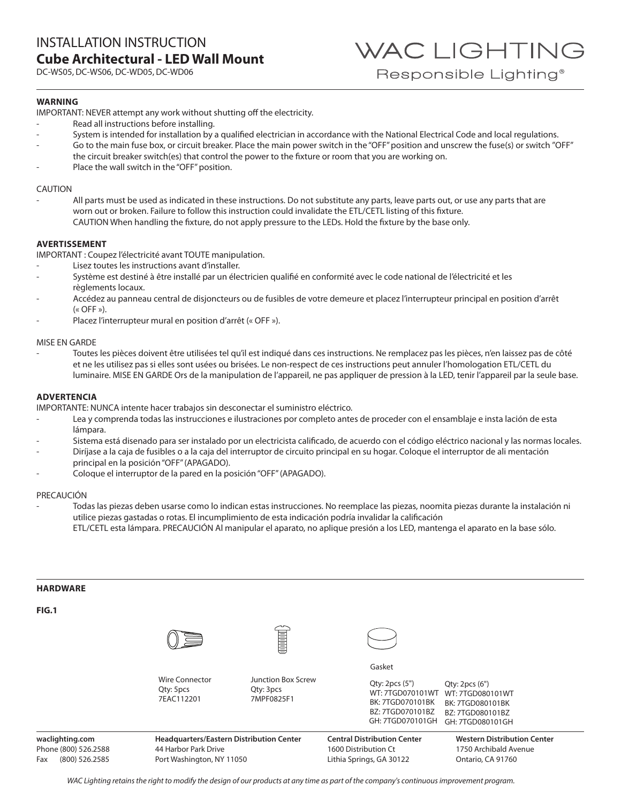DC-WS05, DC-WS06, DC-WD05, DC-WD06

WAC LIGHTING Responsible Lighting<sup>®</sup>

## **WARNING**

IMPORTANT: NEVER attempt any work without shutting off the electricity.

- Read all instructions before installing.
- System is intended for installation by a qualified electrician in accordance with the National Electrical Code and local regulations.
- Go to the main fuse box, or circuit breaker. Place the main power switch in the "OFF" position and unscrew the fuse(s) or switch "OFF" the circuit breaker switch(es) that control the power to the fixture or room that you are working on.
- Place the wall switch in the "OFF" position.

#### CAUTION

All parts must be used as indicated in these instructions. Do not substitute any parts, leave parts out, or use any parts that are worn out or broken. Failure to follow this instruction could invalidate the ETL/CETL listing of this fixture. CAUTION When handling the fixture, do not apply pressure to the LEDs. Hold the fixture by the base only.

## **AVERTISSEMENT**

IMPORTANT : Coupez l'électricité avant TOUTE manipulation.

- Lisez toutes les instructions avant d'installer.
- Système est destiné à être installé par un électricien qualifié en conformité avec le code national de l'électricité et les règlements locaux.
- Accédez au panneau central de disjoncteurs ou de fusibles de votre demeure et placez l'interrupteur principal en position d'arrêt  $(\kappa$  OFF »).
- Placez l'interrupteur mural en position d'arrêt (« OFF »).

#### MISE EN GARDE

- Toutes les pièces doivent être utilisées tel qu'il est indiqué dans ces instructions. Ne remplacez pas les pièces, n'en laissez pas de côté et ne les utilisez pas si elles sont usées ou brisées. Le non-respect de ces instructions peut annuler l'homologation ETL/CETL du luminaire. MISE EN GARDE Ors de la manipulation de l'appareil, ne pas appliquer de pression à la LED, tenir l'appareil par la seule base.

#### **ADVERTENCIA**

IMPORTANTE: NUNCA intente hacer trabajos sin desconectar el suministro eléctrico.

- Lea y comprenda todas las instrucciones e ilustraciones por completo antes de proceder con el ensamblaje e insta lación de esta lámpara.
- Sistema está disenado para ser instalado por un electricista calificado, de acuerdo con el código eléctrico nacional y las normas locales.
- Diríjase a la caja de fusibles o a la caja del interruptor de circuito principal en su hogar. Coloque el interruptor de ali mentación principal en la posición "OFF" (APAGADO).
- Coloque el interruptor de la pared en la posición "OFF" (APAGADO).

#### PRECAUCIÓN

- Todas las piezas deben usarse como lo indican estas instrucciones. No reemplace las piezas, noomita piezas durante la instalación ni utilice piezas gastadas o rotas. El incumplimiento de esta indicación podría invalidar la calificación ETL/CETL esta lámpara. PRECAUCIÓN Al manipular el aparato, no aplique presión a los LED, mantenga el aparato en la base sólo.

| <b>HARDWARE</b>       |                                                  |                                                      |                                                                                                      |                                                                                               |
|-----------------------|--------------------------------------------------|------------------------------------------------------|------------------------------------------------------------------------------------------------------|-----------------------------------------------------------------------------------------------|
| FIG.1                 |                                                  |                                                      |                                                                                                      |                                                                                               |
|                       |                                                  | <b>Commune</b>                                       |                                                                                                      |                                                                                               |
|                       |                                                  |                                                      | Gasket                                                                                               |                                                                                               |
|                       | <b>Wire Connector</b><br>Qty: 5pcs<br>7EAC112201 | <b>Junction Box Screw</b><br>Qty: 3pcs<br>7MPF0825F1 | Qty: 2pcs(5")<br>WT: 7TGD070101WT<br><b>BK: 7TGD070101BK</b><br>BZ: 7TGD070101BZ<br>GH: 7TGD070101GH | Qty: 2pcs(6")<br>WT: 7TGD080101WT<br>BK: 7TGD080101BK<br>BZ: 7TGD080101BZ<br>GH: 7TGD080101GH |
| waclighting.com       | Headquarters/Eastern Distribution Center         |                                                      | <b>Central Distribution Center</b>                                                                   | <b>Western Distribution Center</b>                                                            |
| Phone (800) 526.2588  | 44 Harbor Park Drive                             |                                                      | 1600 Distribution Ct                                                                                 | 1750 Archibald Avenue                                                                         |
| (800) 526.2585<br>Fax | Port Washington, NY 11050                        |                                                      | Lithia Springs, GA 30122                                                                             | Ontario, CA 91760                                                                             |

*WAC Lighting retains the right to modify the design of our products at any time as part of the company's continuous improvement program.*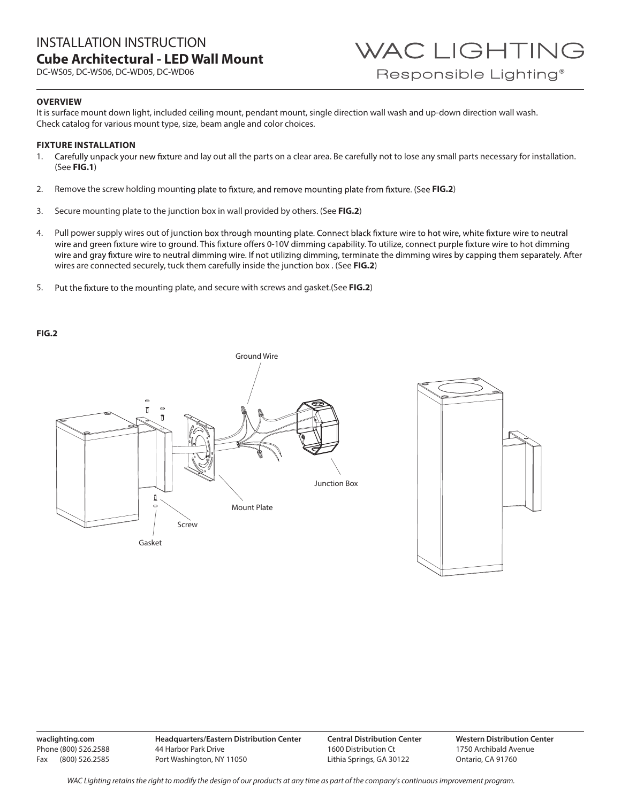# INSTALLATION INSTRUCTION **Cube Architectural - LED Wall Mount**

DC-WS05, DC-WS06, DC-WD05, DC-WD06

# **OVERVIEW**

It is surface mount down light, included ceiling mount, pendant mount, single direction wall wash and up-down direction wall wash. Check catalog for various mount type, size, beam angle and color choices.

# **FIXTURE INSTALLATION**

- 1. Carefully unpack your new fixture and lay out all the parts on a clear area. Be carefully not to lose any small parts necessary for installation. (See **FIG.1**)
- 2. Remove the screw holding mounting plate to fixture, and remove mounting plate from fixture. (See FIG.2)
- 3. Secure mounting plate to the junction box in wall provided by others. (See **FIG.2**)
- 4. Pull power supply wires out of junction box through mounting plate. Connect black fixture wire to hot wire, white fixture wire to neutral wire and green fixture wire to ground. This fixture offers 0-10V dimming capability. To utilize, connect purple fixture wire to hot dimming wire and gray fixture wire to neutral dimming wire. If not utilizing dimming, terminate the dimming wires by capping them separately. After wires are connected securely, tuck them carefully inside the junction box . (See **FIG.2**)
- 5. Put the fixture to the mounting plate, and secure with screws and gasket.(See FIG.2)

#### **FIG.2**





**waclighting.com** Phone (800) 526.2588 Fax (800) 526.2585 **Headquarters/Eastern Distribution Center** 44 Harbor Park Drive Port Washington, NY 11050

**Central Distribution Center** 1600 Distribution Ct Lithia Springs, GA 30122

**Western Distribution Center**  1750 Archibald Avenue Ontario, CA 91760

*WAC Lighting retains the right to modify the design of our products at any time as part of the company's continuous improvement program.*